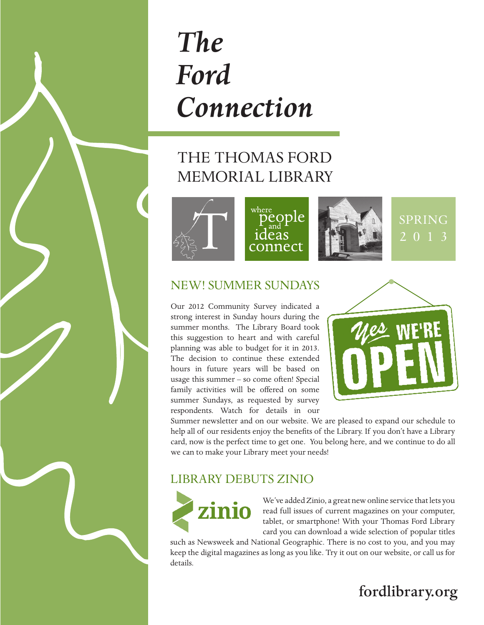# *The Ford Connection*

# THE THOMAS FORD MEMORIAL LIBRARY



## New! Summer Sundays

Our 2012 Community Survey indicated a strong interest in Sunday hours during the summer months. The Library Board took this suggestion to heart and with careful planning was able to budget for it in 2013. The decision to continue these extended hours in future years will be based on usage this summer – so come often! Special family activities will be offered on some summer Sundays, as requested by survey respondents. Watch for details in our



Summer newsletter and on our website. We are pleased to expand our schedule to help all of our residents enjoy the benefits of the Library. If you don't have a Library card, now is the perfect time to get one. You belong here, and we continue to do all we can to make your Library meet your needs!

## library Debuts Zinio



We've added Zinio, a great new online service that lets you read full issues of current magazines on your computer, tablet, or smartphone! With your Thomas Ford Library card you can download a wide selection of popular titles

such as Newsweek and National Geographic. There is no cost to you, and you may keep the digital magazines as long as you like. Try it out on our website, or call us for details.

# fordlibrary.org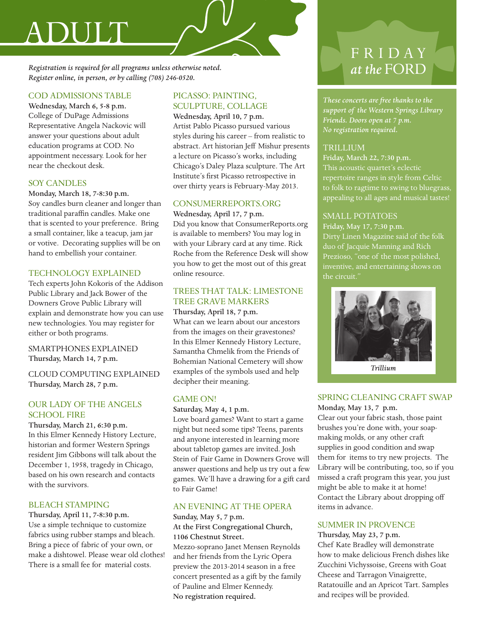# Adult

*Registration is required for all programs unless otherwise noted. Register online, in person, or by calling (708) 246-0520.*

#### COD Admissions Table

Wednesday, March 6, 5-8 p.m. College of DuPage Admissions Representative Angela Nackovic will answer your questions about adult education programs at COD. No appointment necessary. Look for her near the checkout desk.

#### Soy Candles

Monday, March 18, 7-8:30 p.m. Soy candles burn cleaner and longer than traditional paraffin candles. Make one that is scented to your preference. Bring a small container, like a teacup, jam jar or votive. Decorating supplies will be on hand to embellish your container.

#### Technology Explained

Tech experts John Kokoris of the Addison Public Library and Jack Bower of the Downers Grove Public Library will explain and demonstrate how you can use new technologies. You may register for either or both programs.

#### Smartphones Explained Thursday, March 14, 7 p.m.

Cloud Computing Explained Thursday, March 28, 7 p.m.

#### Our Lady of the Angels SCHOOL FIRE

Thursday, March 21, 6:30 p.m. In this Elmer Kennedy History Lecture, historian and former Western Springs resident Jim Gibbons will talk about the December 1, 1958, tragedy in Chicago, based on his own research and contacts with the survivors.

#### **BLEACH STAMPING**

Thursday, April 11, 7-8:30 p.m. Use a simple technique to customize fabrics using rubber stamps and bleach. Bring a piece of fabric of your own, or make a dishtowel. Please wear old clothes! There is a small fee for material costs.

#### Picasso: Painting, Sculpture, Collage

Wednesday, April 10, 7 p.m. Artist Pablo Picasso pursued various styles during his career – from realistic to abstract. Art historian Jeff Mishur presents a lecture on Picasso's works, including Chicago's Daley Plaza sculpture. The Art Institute's first Picasso retrospective in over thirty years is February-May 2013.

#### ConsumerReports.org

Wednesday, April 17, 7 p.m. Did you know that ConsumerReports.org is available to members? You may log in with your Library card at any time. Rick Roche from the Reference Desk will show you how to get the most out of this great online resource.

#### Trees That Talk: Limestone Tree Grave Markers

#### Thursday, April 18, 7 p.m.

What can we learn about our ancestors from the images on their gravestones? In this Elmer Kennedy History Lecture, Samantha Chmelik from the Friends of Bohemian National Cemetery will show examples of the symbols used and help decipher their meaning.

#### GAME ON!

Saturday, May 4, 1 p.m.

Love board games? Want to start a game night but need some tips? Teens, parents and anyone interested in learning more about tabletop games are invited. Josh Stein of Fair Game in Downers Grove will answer questions and help us try out a few games. We'll have a drawing for a gift card to Fair Game!

#### An Evening at the Opera

#### Sunday, May 5, 7 p.m. At the First Congregational Church, 1106 Chestnut Street.

Mezzo-soprano Janet Mensen Reynolds and her friends from the Lyric Opera preview the 2013-2014 season in a free concert presented as a gift by the family of Pauline and Elmer Kennedy. No registration required.

# F R I D A Y at the FORD

*These concerts are free thanks to the support of the Western Springs Library Friends. Doors open at 7 p.m. No registration required.*

#### **TRILLIUM**

Friday, March 22, 7:30 p.m. This acoustic quartet's eclectic repertoire ranges in style from Celtic  $\frac{1}{1}$  to folk to ragtime to swing to bluegrass, appealing to all ages and musical tastes!

#### SMALL POTATOES

Friday, May 17, 7:30 p.m. Dirty Linen Magazine said of the folk duo of Jacquie Manning and Rich inventive, and entertaining shows on the circuit."



*Trillium*

#### Spring Cleaning Craft Swap Monday, May 13, 7 p.m.

Clear out your fabric stash, those paint brushes you're done with, your soapmaking molds, or any other craft supplies in good condition and swap them for items to try new projects. The Library will be contributing, too, so if you missed a craft program this year, you just might be able to make it at home! Contact the Library about dropping off items in advance.

#### Summer in Provence

#### Thursday, May 23, 7 p.m.

Chef Kate Bradley will demonstrate how to make delicious French dishes like Zucchini Vichyssoise, Greens with Goat Cheese and Tarragon Vinaigrette, Ratatouille and an Apricot Tart. Samples and recipes will be provided.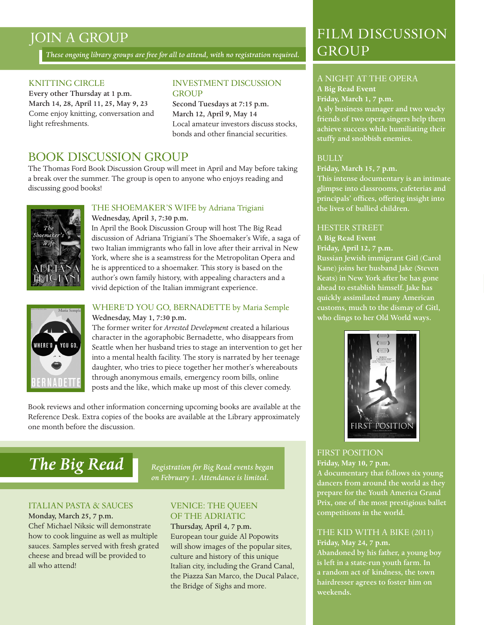## JOIN A GROUP

*These ongoing library groups are free for all to attend, with no registration required.*

#### KNITTING CIRCLE

Every other Thursday at 1 p.m. March 14, 28, April 11, 25, May 9, 23 Come enjoy knitting, conversation and light refreshments.

#### INVESTMENT DISCUSSION **GROUP**

Second Tuesdays at 7:15 p.m. March 12, April 9, May 14 Local amateur investors discuss stocks, bonds and other financial securities.

#### Book Discussion Group

The Thomas Ford Book Discussion Group will meet in April and May before taking a break over the summer. The group is open to anyone who enjoys reading and discussing good books!



#### The Shoemaker's Wife by Adriana Trigiani Wednesday, April 3, 7:30 p.m.

In April the Book Discussion Group will host The Big Read discussion of Adriana Trigiani's The Shoemaker's Wife, a saga of two Italian immigrants who fall in love after their arrival in New York, where she is a seamstress for the Metropolitan Opera and he is apprenticed to a shoemaker. This story is based on the author's own family history, with appealing characters and a vivid depiction of the Italian immigrant experience.



#### WHERE'D YOU GO, BERNADETTE by Maria Semple Wednesday, May 1, 7:30 p.m.

The former writer for *Arrested Development* created a hilarious character in the agoraphobic Bernadette, who disappears from Seattle when her husband tries to stage an intervention to get her into a mental health facility. The story is narrated by her teenage daughter, who tries to piece together her mother's whereabouts through anonymous emails, emergency room bills, online posts and the like, which make up most of this clever comedy.

Book reviews and other information concerning upcoming books are available at the Reference Desk. Extra copies of the books are available at the Library approximately one month before the discussion.

# *The Big Read Registration for Big Read events began*

*on February 1. Attendance is limited.*

#### Italian Pasta & Sauces

Monday, March 25, 7 p.m. Chef Michael Niksic will demonstrate how to cook linguine as well as multiple sauces. Samples served with fresh grated cheese and bread will be provided to all who attend!

#### Venice: The Queen of the Adriatic

Thursday, April 4, 7 p.m. European tour guide Al Popowits will show images of the popular sites, culture and history of this unique Italian city, including the Grand Canal, the Piazza San Marco, the Ducal Palace, the Bridge of Sighs and more.

## Film discussion GROUP

#### A Night at the Opera **A Big Read Event**

#### **Friday, March 1, 7 p.m.**

A sly business manager and two wacky friends of two opera singers help them achieve success while humiliating their stuffy and snobbish enemies.

#### **BULLY**

#### **Friday, March 15, 7 p.m.**

This intense documentary is an intimate glimpse into classrooms, cafeterias and principals' offices, offering insight into the lives of bullied children.

#### Hester Street

#### **A Big Read Event**

**Friday, April 12, 7 p.m.** Russian Jewish immigrant Gitl (Carol Kane) joins her husband Jake (Steven Keats) in New York after he has gone ahead to establish himself. Jake has quickly assimilated many American customs, much to the dismay of Gitl, who clings to her Old World ways.



#### First Position

**Friday, May 10, 7 p.m.** A documentary that follows six young dancers from around the world as they prepare for the Youth America Grand Prix, one of the most prestigious ballet competitions in the world.

#### The Kid With a Bike (2011) **Friday, May 24, 7 p.m.**

Abandoned by his father, a young boy is left in a state-run youth farm. In a random act of kindness, the town hairdresser agrees to foster him on weekends.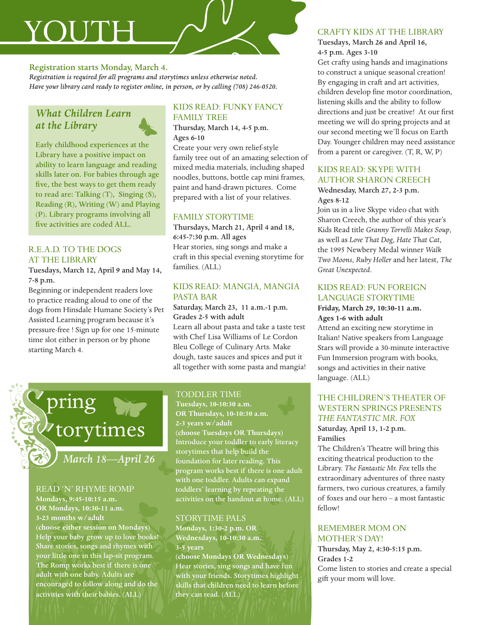# YOUTH

#### Registration starts Monday, March 4.

*Registration is required for all programs and storytimes unless otherwise noted. Have your library card ready to register online, in person, or by calling (708) 246-0520.*

#### *What Children Learn at the Library*



Early childhood experiences at the Library have a positive impact on ability to learn language and reading skills later on. For babies through age five, the best ways to get them ready to read are: Talking (T), Singing (S), Reading (R), Writing (W) and Playing (P). Library programs involving all five activities are coded ALL.

#### R.E.A.D. to the Dogs at the Library

Tuesdays, March 12, April 9 and May 14, 7-8 p.m.

Beginning or independent readers love to practice reading aloud to one of the dogs from Hinsdale Humane Society's Pet Assisted Learning program because it's pressure-free ! Sign up for one 15-minute time slot either in person or by phone starting March 4.

#### Kids Read: Funky Fancy Family Tree

Thursday, March 14, 4-5 p.m. Ages 6-10

Create your very own relief-style family tree out of an amazing selection of mixed media materials, including shaped noodles, buttons, bottle cap mini frames, paint and hand-drawn pictures. Come prepared with a list of your relatives.

#### Family Storytime

Thursdays, March 21, April 4 and 18, 6:45-7:30 p.m. All ages Hear stories, sing songs and make a craft in this special evening storytime for families. (ALL)

#### Kids Read: Mangia, Mangia Pasta Bar

Saturday, March 23, 11 a.m.-1 p.m. Grades 2-5 with adult Learn all about pasta and take a taste test with Chef Lisa Williams of Le Cordon Bleu College of Culinary Arts. Make dough, taste sauces and spices and put it all together with some pasta and mangia!

#### TODDLER TIME

**Tuesdays, 10-10:30 a.m. OR Thursdays, 10-10:30 a.m. 2-3 years w/adult (choose Tuesdays OR Thursdays)** Introduce your toddler to early literacy storytimes that help build the foundation for later reading. This program works best if there is one adult with one toddler. Adults can expand toddlers' learning by repeating the activities on the handout at home. (ALL)

#### Storytime Pals

**Mondays, 1:30-2 p.m. OR Wednesdays, 10-10:30 a.m. 3-5 years (choose Mondays OR Wednesdays)**  Hear stories, sing songs and have fun with your friends. Storytimes highlight skills that children need to learn before they can read. (ALL)

#### Crafty Kids at the Library

#### Tuesdays, March 26 and April 16, 4-5 p.m. Ages 3-10

Get crafty using hands and imaginations to construct a unique seasonal creation! By engaging in craft and art activities, children develop fine motor coordination, listening skills and the ability to follow directions and just be creative! At our first meeting we will do spring projects and at our second meeting we'll focus on Earth Day. Younger children may need assistance from a parent or caregiver. (T, R, W, P)

#### Kids Read: Skype with Author Sharon Creech

Wednesday, March 27, 2-3 p.m. Ages 8-12

Join us in a live Skype video chat with Sharon Creech, the author of this year's Kids Read title *Granny Torrelli Makes Soup*, as well as *Love That Dog*, *Hate That Cat*, the 1995 Newbery Medal winner *Walk Two Moons*, *Ruby Holler* and her latest, *The Great Unexpected*.

#### Kids Read: Fun Foreign Language Storytime

#### **Friday, March 29, 10:30-11 a.m. Ages 1-6 with adult**

Attend an exciting new storytime in Italian! Native speakers from Language Stars will provide a 30-minute interactive Fun Immersion program with books, songs and activities in their native language. (ALL)

#### The Children's Theater of Western Springs Presents *THE FANTASTIC MR. FOX* Saturday, April 13, 1-2 p.m.

Families The Children's Theatre will bring this exciting theatrical production to the Library. *The Fantastic Mr. Fox* tells the extraordinary adventures of three nasty farmers, two curious creatures, a family of foxes and our hero – a most fantastic fellow!

#### Remember Mom on MOTHER'S DAY!

Thursday, May 2, 4:30-5:15 p.m. Grades 1-2 Come listen to stories and create a special gift your mom will love.

torytimes

*March 18—April 26*

#### Read 'n' Rhyme Romp

pring

**Mondays, 9:45-10:15 a.m. OR Mondays, 10:30-11 a.m. 3-23 months w/adult (choose either session on Mondays)** Help your baby grow up to love books! Share stories, songs and rhymes with your little one in this lap-sit program. The Romp works best if there is one adult with one baby. Adults are encouraged to follow along and do the activities with their babies. (ALL)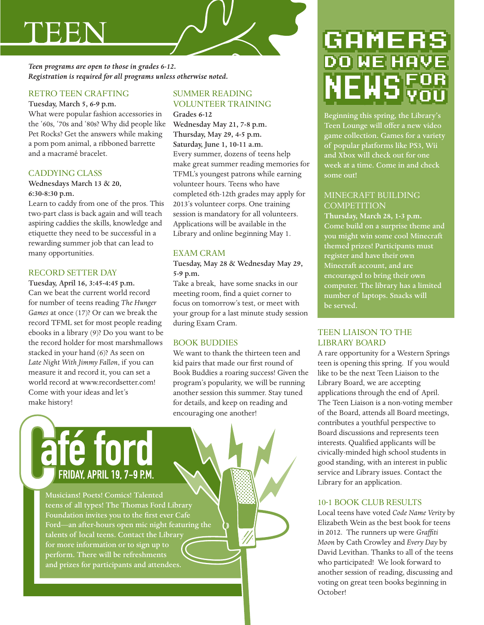# teen

*Teen programs are open to those in grades 6-12. Registration is required for all programs unless otherwise noted.*

#### Retro Teen Crafting

Tuesday, March 5, 6-9 p.m.

What were popular fashion accessories in the '60s, '70s and '80s? Why did people like Pet Rocks? Get the answers while making a pom pom animal, a ribboned barrette and a macramé bracelet.

#### CADDYING CLASS

#### Wednesdays March 13 & 20, 6:30-8:30 p.m.

Learn to caddy from one of the pros. This two-part class is back again and will teach aspiring caddies the skills, knowledge and etiquette they need to be successful in a rewarding summer job that can lead to many opportunities.

#### RECORD SETTER DAY

Tuesday, April 16, 3:45-4:45 p.m. Can we beat the current world record for number of teens reading *The Hunger Games* at once (17)? Or can we break the record TFML set for most people reading ebooks in a library (9)? Do you want to be the record holder for most marshmallows stacked in your hand (6)? As seen on *Late Night With Jimmy Fallon*, if you can measure it and record it, you can set a world record at www.recordsetter.com! Come with your ideas and let's make history!

#### Summer Reading Volunteer Training Grades 6-12

Wednesday May 21, 7-8 p.m. Thursday, May 29, 4-5 p.m. Saturday, June 1, 10-11 a.m. Every summer, dozens of teens help make great summer reading memories for TFML's youngest patrons while earning volunteer hours. Teens who have completed 6th-12th grades may apply for 2013's volunteer corps. One training session is mandatory for all volunteers. Applications will be available in the Library and online beginning May 1.

#### Exam Cram

Tuesday, May 28 & Wednesday May 29, 5-9 p.m.

Take a break, have some snacks in our meeting room, find a quiet corner to focus on tomorrow's test, or meet with your group for a last minute study session during Exam Cram.

#### Book Buddies

We want to thank the thirteen teen and kid pairs that made our first round of Book Buddies a roaring success! Given the program's popularity, we will be running another session this summer. Stay tuned for details, and keep on reading and encouraging one another!

# **e T FRIDAY APRIL 19, 7-9 P.M.**

Musicians! Poets! Comics! Talented teens of all types! The Thomas Ford Library Foundation invites you to the first ever Cafe Ford—an after-hours open mic night featuring the talents of local teens. Contact the Library for more information or to sign up to perform. There will be refreshments and prizes for participants and attendees.

# GAMER

Beginning this spring, the Library's Teen Lounge will offer a new video game collection. Games for a variety of popular platforms like PS3, Wii and Xbox will check out for one week at a time. Come in and check some out!

#### Minecraft Building **COMPETITION**

**Thursday, March 28, 1-3 p.m.** Come build on a surprise theme and you might win some cool Minecraft themed prizes! Participants must register and have their own Minecraft account, and are encouraged to bring their own computer. The library has a limited number of laptops. Snacks will be served.

#### Teen Liaison to the Library Board

A rare opportunity for a Western Springs teen is opening this spring. If you would like to be the next Teen Liaison to the Library Board, we are accepting applications through the end of April. The Teen Liaison is a non-voting member of the Board, attends all Board meetings, contributes a youthful perspective to Board discussions and represents teen interests. Qualified applicants will be civically-minded high school students in good standing, with an interest in public service and Library issues. Contact the Library for an application.

#### 10-1 BOOK CLUB RESULTS

Local teens have voted *Code Name Verity* by Elizabeth Wein as the best book for teens in 2012. The runners up were *Graffiti Moon* by Cath Crowley and *Every Day* by David Levithan. Thanks to all of the teens who participated! We look forward to another session of reading, discussing and voting on great teen books beginning in October!